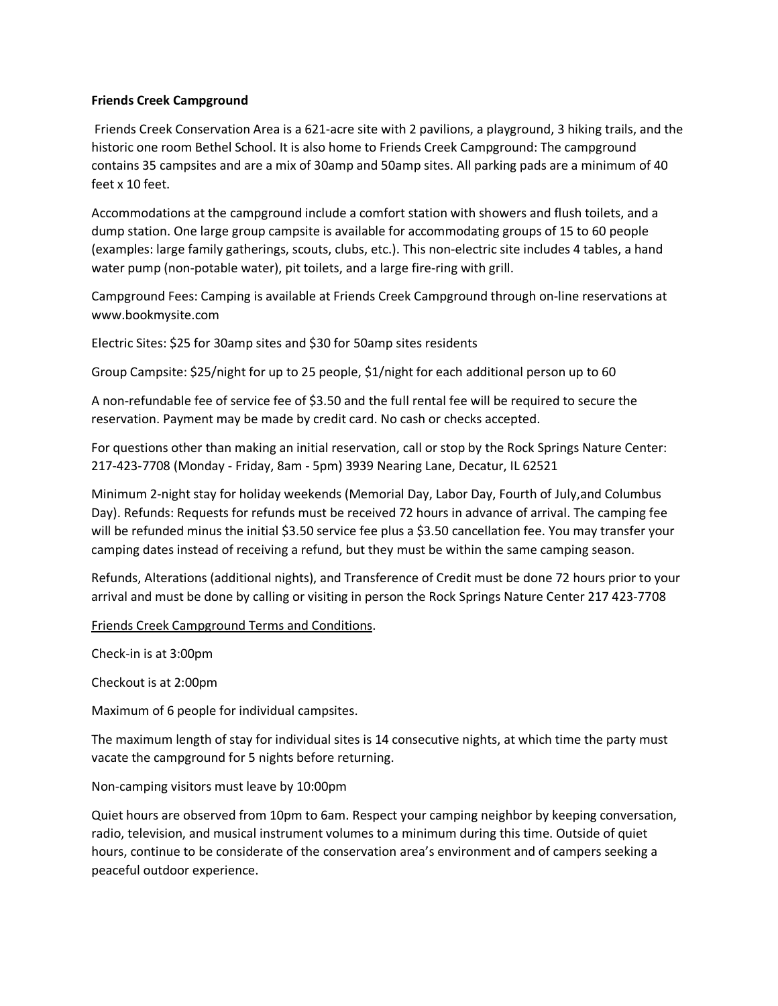## **Friends Creek Campground**

Friends Creek Conservation Area is a 621-acre site with 2 pavilions, a playground, 3 hiking trails, and the historic one room Bethel School. It is also home to Friends Creek Campground: The campground contains 35 campsites and are a mix of 30amp and 50amp sites. All parking pads are a minimum of 40 feet x 10 feet.

Accommodations at the campground include a comfort station with showers and flush toilets, and a dump station. One large group campsite is available for accommodating groups of 15 to 60 people (examples: large family gatherings, scouts, clubs, etc.). This non-electric site includes 4 tables, a hand water pump (non-potable water), pit toilets, and a large fire-ring with grill.

Campground Fees: Camping is available at Friends Creek Campground through on-line reservations at www.bookmysite.com

Electric Sites: \$25 for 30amp sites and \$30 for 50amp sites residents

Group Campsite: \$25/night for up to 25 people, \$1/night for each additional person up to 60

A non-refundable fee of service fee of \$3.50 and the full rental fee will be required to secure the reservation. Payment may be made by credit card. No cash or checks accepted.

For questions other than making an initial reservation, call or stop by the Rock Springs Nature Center: 217-423-7708 (Monday - Friday, 8am - 5pm) 3939 Nearing Lane, Decatur, IL 62521

Minimum 2-night stay for holiday weekends (Memorial Day, Labor Day, Fourth of July,and Columbus Day). Refunds: Requests for refunds must be received 72 hours in advance of arrival. The camping fee will be refunded minus the initial \$3.50 service fee plus a \$3.50 cancellation fee. You may transfer your camping dates instead of receiving a refund, but they must be within the same camping season.

Refunds, Alterations (additional nights), and Transference of Credit must be done 72 hours prior to your arrival and must be done by calling or visiting in person the Rock Springs Nature Center 217 423-7708

Friends Creek Campground Terms and Conditions.

Check-in is at 3:00pm

Checkout is at 2:00pm

Maximum of 6 people for individual campsites.

The maximum length of stay for individual sites is 14 consecutive nights, at which time the party must vacate the campground for 5 nights before returning.

Non-camping visitors must leave by 10:00pm

Quiet hours are observed from 10pm to 6am. Respect your camping neighbor by keeping conversation, radio, television, and musical instrument volumes to a minimum during this time. Outside of quiet hours, continue to be considerate of the conservation area's environment and of campers seeking a peaceful outdoor experience.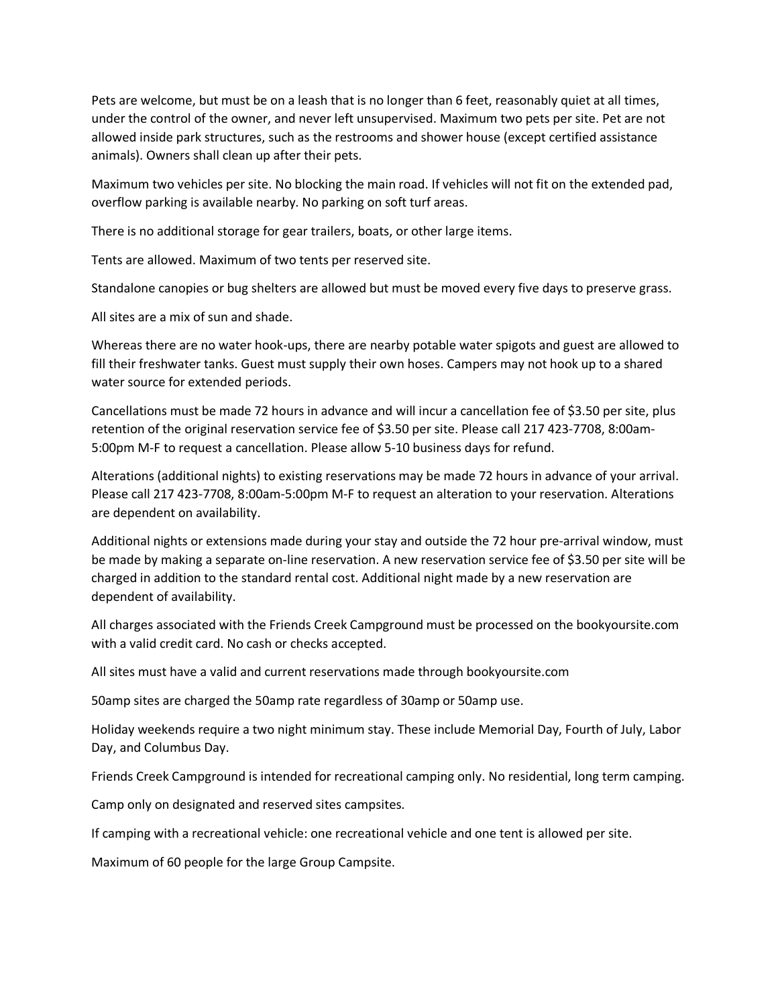Pets are welcome, but must be on a leash that is no longer than 6 feet, reasonably quiet at all times, under the control of the owner, and never left unsupervised. Maximum two pets per site. Pet are not allowed inside park structures, such as the restrooms and shower house (except certified assistance animals). Owners shall clean up after their pets.

Maximum two vehicles per site. No blocking the main road. If vehicles will not fit on the extended pad, overflow parking is available nearby. No parking on soft turf areas.

There is no additional storage for gear trailers, boats, or other large items.

Tents are allowed. Maximum of two tents per reserved site.

Standalone canopies or bug shelters are allowed but must be moved every five days to preserve grass.

All sites are a mix of sun and shade.

Whereas there are no water hook-ups, there are nearby potable water spigots and guest are allowed to fill their freshwater tanks. Guest must supply their own hoses. Campers may not hook up to a shared water source for extended periods.

Cancellations must be made 72 hours in advance and will incur a cancellation fee of \$3.50 per site, plus retention of the original reservation service fee of \$3.50 per site. Please call 217 423-7708, 8:00am-5:00pm M-F to request a cancellation. Please allow 5-10 business days for refund.

Alterations (additional nights) to existing reservations may be made 72 hours in advance of your arrival. Please call 217 423-7708, 8:00am-5:00pm M-F to request an alteration to your reservation. Alterations are dependent on availability.

Additional nights or extensions made during your stay and outside the 72 hour pre-arrival window, must be made by making a separate on-line reservation. A new reservation service fee of \$3.50 per site will be charged in addition to the standard rental cost. Additional night made by a new reservation are dependent of availability.

All charges associated with the Friends Creek Campground must be processed on the bookyoursite.com with a valid credit card. No cash or checks accepted.

All sites must have a valid and current reservations made through bookyoursite.com

50amp sites are charged the 50amp rate regardless of 30amp or 50amp use.

Holiday weekends require a two night minimum stay. These include Memorial Day, Fourth of July, Labor Day, and Columbus Day.

Friends Creek Campground is intended for recreational camping only. No residential, long term camping.

Camp only on designated and reserved sites campsites.

If camping with a recreational vehicle: one recreational vehicle and one tent is allowed per site.

Maximum of 60 people for the large Group Campsite.